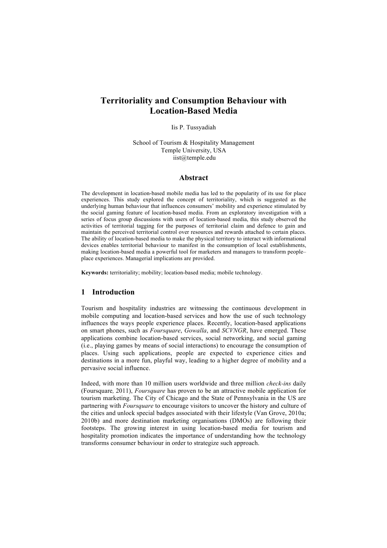# **Territoriality and Consumption Behaviour with Location-Based Media**

Iis P. Tussyadiah

School of Tourism & Hospitality Management Temple University, USA iist@temple.edu

### **Abstract**

The development in location-based mobile media has led to the popularity of its use for place experiences. This study explored the concept of territoriality, which is suggested as the underlying human behaviour that influences consumers' mobility and experience stimulated by the social gaming feature of location-based media. From an exploratory investigation with a series of focus group discussions with users of location-based media, this study observed the activities of territorial tagging for the purposes of territorial claim and defence to gain and maintain the perceived territorial control over resources and rewards attached to certain places. The ability of location-based media to make the physical territory to interact with informational devices enables territorial behaviour to manifest in the consumption of local establishments, making location-based media a powerful tool for marketers and managers to transform people– place experiences. Managerial implications are provided.

**Keywords:** territoriality; mobility; location-based media; mobile technology.

# **1 Introduction**

Tourism and hospitality industries are witnessing the continuous development in mobile computing and location-based services and how the use of such technology influences the ways people experience places. Recently, location-based applications on smart phones, such as *Foursquare*, *Gowalla*, and *SCVNGR*, have emerged. These applications combine location-based services, social networking, and social gaming (i.e., playing games by means of social interactions) to encourage the consumption of places. Using such applications, people are expected to experience cities and destinations in a more fun, playful way, leading to a higher degree of mobility and a pervasive social influence.

Indeed, with more than 10 million users worldwide and three million *check-ins* daily (Foursquare*,* 2011), *Foursquare* has proven to be an attractive mobile application for tourism marketing. The City of Chicago and the State of Pennsylvania in the US are partnering with *Foursquare* to encourage visitors to uncover the history and culture of the cities and unlock special badges associated with their lifestyle (Van Grove, 2010a; 2010b) and more destination marketing organisations (DMOs) are following their footsteps. The growing interest in using location-based media for tourism and hospitality promotion indicates the importance of understanding how the technology transforms consumer behaviour in order to strategize such approach.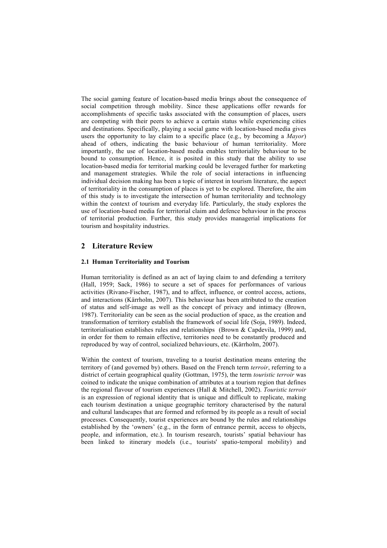The social gaming feature of location-based media brings about the consequence of social competition through mobility. Since these applications offer rewards for accomplishments of specific tasks associated with the consumption of places, users are competing with their peers to achieve a certain status while experiencing cities and destinations. Specifically, playing a social game with location-based media gives users the opportunity to lay claim to a specific place (e.g., by becoming a *Mayor*) ahead of others, indicating the basic behaviour of human territoriality. More importantly, the use of location-based media enables territoriality behaviour to be bound to consumption. Hence, it is posited in this study that the ability to use location-based media for territorial marking could be leveraged further for marketing and management strategies. While the role of social interactions in influencing individual decision making has been a topic of interest in tourism literature, the aspect of territoriality in the consumption of places is yet to be explored. Therefore, the aim of this study is to investigate the intersection of human territoriality and technology within the context of tourism and everyday life. Particularly, the study explores the use of location-based media for territorial claim and defence behaviour in the process of territorial production. Further, this study provides managerial implications for tourism and hospitality industries.

# **2 Literature Review**

## **2.1 Human Territoriality and Tourism**

Human territoriality is defined as an act of laying claim to and defending a territory (Hall, 1959; Sack, 1986) to secure a set of spaces for performances of various activities (Rivano-Fischer, 1987), and to affect, influence, or control access, actions, and interactions (Kärrholm, 2007). This behaviour has been attributed to the creation of status and self-image as well as the concept of privacy and intimacy (Brown, 1987). Territoriality can be seen as the social production of space, as the creation and transformation of territory establish the framework of social life (Soja, 1989). Indeed, territorialisation establishes rules and relationships (Brown & Capdevila, 1999) and, in order for them to remain effective, territories need to be constantly produced and reproduced by way of control, socialized behaviours, etc. (Kärrholm, 2007).

Within the context of tourism, traveling to a tourist destination means entering the territory of (and governed by) others. Based on the French term *terroir*, referring to a district of certain geographical quality (Gottman, 1975), the term *touristic terroir* was coined to indicate the unique combination of attributes at a tourism region that defines the regional flavour of tourism experiences (Hall & Mitchell, 2002). *Touristic terroir* is an expression of regional identity that is unique and difficult to replicate, making each tourism destination a unique geographic territory characterised by the natural and cultural landscapes that are formed and reformed by its people as a result of social processes. Consequently, tourist experiences are bound by the rules and relationships established by the 'owners' (e.g., in the form of entrance permit, access to objects, people, and information, etc.). In tourism research, tourists' spatial behaviour has been linked to itinerary models (i.e., tourists' spatio-temporal mobility) and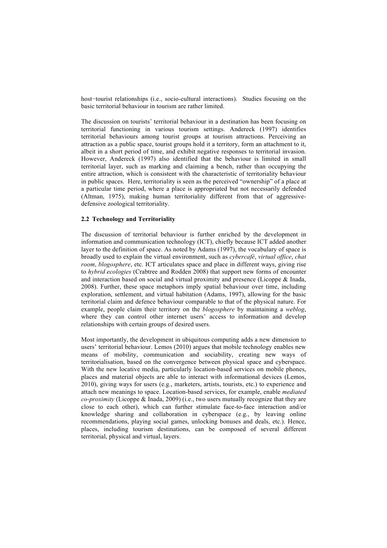host−tourist relationships (i.e., socio-cultural interactions). Studies focusing on the basic territorial behaviour in tourism are rather limited.

The discussion on tourists' territorial behaviour in a destination has been focusing on territorial functioning in various tourism settings. Andereck (1997) identifies territorial behaviours among tourist groups at tourism attractions. Perceiving an attraction as a public space, tourist groups hold it a territory, form an attachment to it, albeit in a short period of time, and exhibit negative responses to territorial invasion. However, Andereck (1997) also identified that the behaviour is limited in small territorial layer, such as marking and claiming a bench, rather than occupying the entire attraction, which is consistent with the characteristic of territoriality behaviour in public spaces. Here, territoriality is seen as the perceived "ownership" of a place at a particular time period, where a place is appropriated but not necessarily defended (Altman, 1975), making human territoriality different from that of aggressivedefensive zoological territoriality.

### **2.2 Technology and Territoriality**

The discussion of territorial behaviour is further enriched by the development in information and communication technology (ICT), chiefly because ICT added another layer to the definition of space. As noted by Adams (1997), the vocabulary of space is broadly used to explain the virtual environment, such as *cybercafé*, *virtual office*, *chat room*, *blogosphere*, etc. ICT articulates space and place in different ways, giving rise to *hybrid ecologies* (Crabtree and Rodden 2008) that support new forms of encounter and interaction based on social and virtual proximity and presence (Licoppe & Inada, 2008). Further, these space metaphors imply spatial behaviour over time, including exploration, settlement, and virtual habitation (Adams, 1997), allowing for the basic territorial claim and defence behaviour comparable to that of the physical nature. For example, people claim their territory on the *blogosphere* by maintaining a *weblog*, where they can control other internet users' access to information and develop relationships with certain groups of desired users.

Most importantly, the development in ubiquitous computing adds a new dimension to users' territorial behaviour. Lemos (2010) argues that mobile technology enables new means of mobility, communication and sociability, creating new ways of territorialisation, based on the convergence between physical space and cyberspace. With the new locative media, particularly location-based services on mobile phones, places and material objects are able to interact with informational devices (Lemos, 2010), giving ways for users (e.g., marketers, artists, tourists, etc.) to experience and attach new meanings to space. Location-based services, for example, enable *mediated co-proximity* (Licoppe & Inada, 2009) (i.e., two users mutually recognize that they are close to each other), which can further stimulate face-to-face interaction and/or knowledge sharing and collaboration in cyberspace (e.g., by leaving online recommendations, playing social games, unlocking bonuses and deals, etc.). Hence, places, including tourism destinations, can be composed of several different territorial, physical and virtual, layers.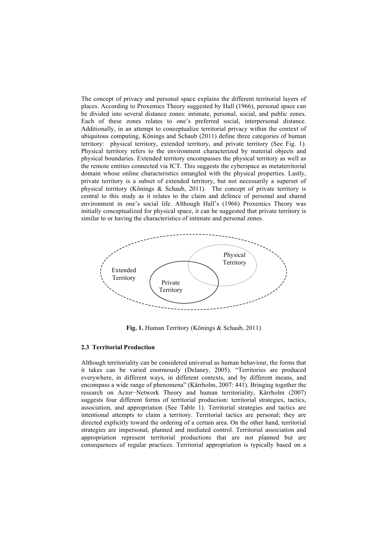The concept of privacy and personal space explains the different territorial layers of places. According to Proxemics Theory suggested by Hall (1966), personal space can be divided into several distance zones: intimate, personal, social, and public zones. Each of these zones relates to one's preferred social, interpersonal distance. Additionally, in an attempt to conceptualize territorial privacy within the context of ubiquitous computing, Könings and Schaub (2011) define three categories of human territory: physical territory, extended territory, and private territory (See Fig. 1). Physical territory refers to the environment characterized by material objects and physical boundaries. Extended territory encompasses the physical territory as well as the remote entities connected via ICT. This suggests the cyberspace as metaterritorial domain whose online characteristics entangled with the physical properties. Lastly, private territory is a subset of extended territory, but not necessarily a superset of physical territory (Könings & Schaub, 2011). The concept of private territory is central to this study as it relates to the claim and defence of personal and shared environment in one's social life. Although Hall's (1966) Proxemics Theory was initially conceptualized for physical space, it can be suggested that private territory is similar to or having the characteristics of intimate and personal zones.



**Fig. 1.** Human Territory (Könings & Schaub, 2011)

### **2.3 Territorial Production**

Although territoriality can be considered universal as human behaviour, the forms that it takes can be varied enormously (Delaney, 2005). "Territories are produced everywhere, in different ways, in different contexts, and by different means, and encompass a wide range of phenomena" (Kärrholm, 2007: 441). Bringing together the research on Actor−Network Theory and human territoriality, Kärrholm (2007) suggests four different forms of territorial production: territorial strategies, tactics, association, and appropriation (See Table 1). Territorial strategies and tactics are intentional attempts to claim a territory. Territorial tactics are personal; they are directed explicitly toward the ordering of a certain area. On the other hand, territorial strategies are impersonal, planned and mediated control. Territorial association and appropriation represent territorial productions that are not planned but are consequences of regular practices. Territorial appropriation is typically based on a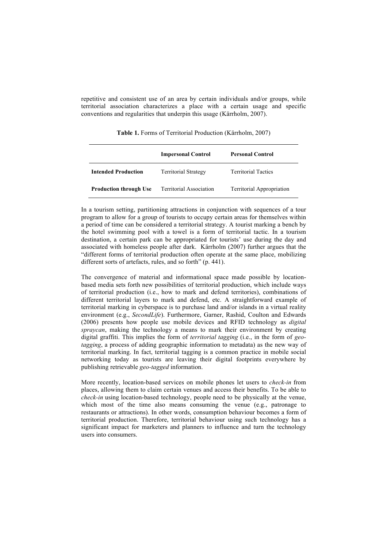repetitive and consistent use of an area by certain individuals and/or groups, while territorial association characterizes a place with a certain usage and specific conventions and regularities that underpin this usage (Kärrholm, 2007).

|                               | <b>Impersonal Control</b>      | <b>Personal Control</b>          |
|-------------------------------|--------------------------------|----------------------------------|
| <b>Intended Production</b>    | <b>Territorial Strategy</b>    | <b>Territorial Tactics</b>       |
| <b>Production through Use</b> | <b>Territorial Association</b> | <b>Territorial Appropriation</b> |

**Table 1.** Forms of Territorial Production (Kärrholm, 2007)

In a tourism setting, partitioning attractions in conjunction with sequences of a tour program to allow for a group of tourists to occupy certain areas for themselves within a period of time can be considered a territorial strategy. A tourist marking a bench by the hotel swimming pool with a towel is a form of territorial tactic. In a tourism destination, a certain park can be appropriated for tourists' use during the day and associated with homeless people after dark. Kärrholm (2007) further argues that the "different forms of territorial production often operate at the same place, mobilizing different sorts of artefacts, rules, and so forth" (p. 441).

The convergence of material and informational space made possible by locationbased media sets forth new possibilities of territorial production, which include ways of territorial production (i.e., how to mark and defend territories), combinations of different territorial layers to mark and defend, etc. A straightforward example of territorial marking in cyberspace is to purchase land and/or islands in a virtual reality environment (e.g., *SecondLife*). Furthermore, Garner, Rashid, Coulton and Edwards (2006) presents how people use mobile devices and RFID technology as *digital spraycan*, making the technology a means to mark their environment by creating digital graffiti. This implies the form of *territorial tagging* (i.e., in the form of *geotagging*, a process of adding geographic information to metadata) as the new way of territorial marking. In fact, territorial tagging is a common practice in mobile social networking today as tourists are leaving their digital footprints everywhere by publishing retrievable *geo-tagged* information.

More recently, location-based services on mobile phones let users to *check-in* from places, allowing them to claim certain venues and access their benefits. To be able to *check-in* using location-based technology, people need to be physically at the venue, which most of the time also means consuming the venue (e.g., patronage to restaurants or attractions). In other words, consumption behaviour becomes a form of territorial production. Therefore, territorial behaviour using such technology has a significant impact for marketers and planners to influence and turn the technology users into consumers.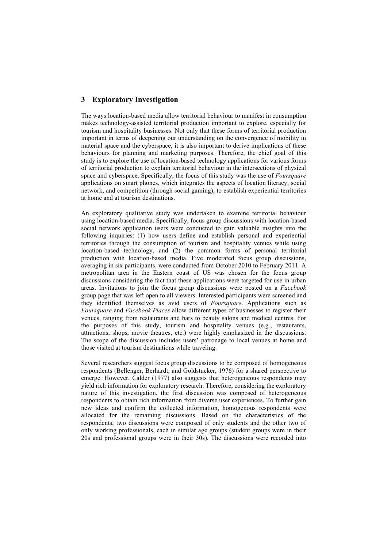# **3 Exploratory Investigation**

The ways location-based media allow territorial behaviour to manifest in consumption makes technology-assisted territorial production important to explore, especially for tourism and hospitality businesses. Not only that these forms of territorial production important in terms of deepening our understanding on the convergence of mobility in material space and the cyberspace, it is also important to derive implications of these behaviours for planning and marketing purposes. Therefore, the chief goal of this study is to explore the use of location-based technology applications for various forms of territorial production to explain territorial behaviour in the intersections of physical space and cyberspace. Specifically, the focus of this study was the use of *Foursquare* applications on smart phones, which integrates the aspects of location literacy, social network, and competition (through social gaming), to establish experiential territories at home and at tourism destinations.

An exploratory qualitative study was undertaken to examine territorial behaviour using location-based media. Specifically, focus group discussions with location-based social network application users were conducted to gain valuable insights into the following inquiries: (1) how users define and establish personal and experiential territories through the consumption of tourism and hospitality venues while using location-based technology, and (2) the common forms of personal territorial production with location-based media. Five moderated focus group discussions, averaging in six participants, were conducted from October 2010 to February 2011. A metropolitan area in the Eastern coast of US was chosen for the focus group discussions considering the fact that these applications were targeted for use in urban areas. Invitations to join the focus group discussions were posted on a *Facebook* group page that was left open to all viewers. Interested participants were screened and they identified themselves as avid users of *Foursquare*. Applications such as *Foursquare* and *Facebook Places* allow different types of businesses to register their venues, ranging from restaurants and bars to beauty salons and medical centres. For the purposes of this study, tourism and hospitality venues (e.g., restaurants, attractions, shops, movie theatres, etc.) were highly emphasized in the discussions. The scope of the discussion includes users' patronage to local venues at home and those visited at tourism destinations while traveling.

Several researchers suggest focus group discussions to be composed of homogeneous respondents (Bellenger, Berhardt, and Goldstucker, 1976) for a shared perspective to emerge. However, Calder (1977) also suggests that heterogeneous respondents may yield rich information for exploratory research. Therefore, considering the exploratory nature of this investigation, the first discussion was composed of heterogeneous respondents to obtain rich information from diverse user experiences. To further gain new ideas and confirm the collected information, homogenous respondents were allocated for the remaining discussions. Based on the characteristics of the respondents, two discussions were composed of only students and the other two of only working professionals, each in similar age groups (student groups were in their 20s and professional groups were in their 30s). The discussions were recorded into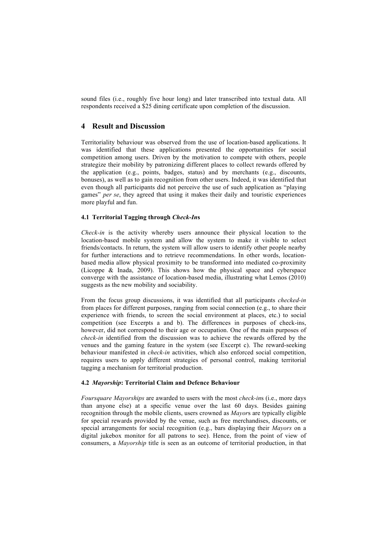sound files (i.e., roughly five hour long) and later transcribed into textual data. All respondents received a \$25 dining certificate upon completion of the discussion.

# **4 Result and Discussion**

Territoriality behaviour was observed from the use of location-based applications. It was identified that these applications presented the opportunities for social competition among users. Driven by the motivation to compete with others, people strategize their mobility by patronizing different places to collect rewards offered by the application (e.g., points, badges, status) and by merchants (e.g., discounts, bonuses), as well as to gain recognition from other users. Indeed, it was identified that even though all participants did not perceive the use of such application as "playing games" *per se*, they agreed that using it makes their daily and touristic experiences more playful and fun.

# **4.1 Territorial Tagging through** *Check-In***s**

*Check-in* is the activity whereby users announce their physical location to the location-based mobile system and allow the system to make it visible to select friends/contacts. In return, the system will allow users to identify other people nearby for further interactions and to retrieve recommendations. In other words, locationbased media allow physical proximity to be transformed into mediated co-proximity (Licoppe & Inada, 2009). This shows how the physical space and cyberspace converge with the assistance of location-based media, illustrating what Lemos (2010) suggests as the new mobility and sociability.

From the focus group discussions, it was identified that all participants *checked-in* from places for different purposes, ranging from social connection (e.g., to share their experience with friends, to screen the social environment at places, etc.) to social competition (see Excerpts a and b). The differences in purposes of check-ins, however, did not correspond to their age or occupation. One of the main purposes of *check-in* identified from the discussion was to achieve the rewards offered by the venues and the gaming feature in the system (see Excerpt c). The reward-seeking behaviour manifested in *check-in* activities, which also enforced social competition, requires users to apply different strategies of personal control, making territorial tagging a mechanism for territorial production.

#### **4.2** *Mayorship***: Territorial Claim and Defence Behaviour**

*Foursquare Mayorships* are awarded to users with the most *check-in*s (i.e., more days than anyone else) at a specific venue over the last 60 days. Besides gaining recognition through the mobile clients, users crowned as *Mayor*s are typically eligible for special rewards provided by the venue, such as free merchandises, discounts, or special arrangements for social recognition (e.g., bars displaying their *Mayors* on a digital jukebox monitor for all patrons to see). Hence, from the point of view of consumers, a *Mayorship* title is seen as an outcome of territorial production, in that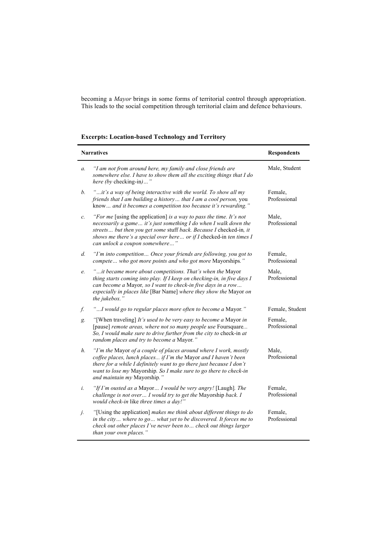becoming a *Mayor* brings in some forms of territorial control through appropriation. This leads to the social competition through territorial claim and defence behaviours.

| <b>Narratives</b> |                                                                                                                                                                                                                                                                                                                            | <b>Respondents</b>      |
|-------------------|----------------------------------------------------------------------------------------------------------------------------------------------------------------------------------------------------------------------------------------------------------------------------------------------------------------------------|-------------------------|
| $a$ .             | "I am not from around here, my family and close friends are<br>somewhere else. I have to show them all the exciting things that I do<br>here (by checking-in)"                                                                                                                                                             | Male, Student           |
| b.                | "it's a way of being interactive with the world. To show all my<br>friends that I am building a history that I am a cool person, you<br>know and it becomes a competition too because it's rewarding."                                                                                                                     | Female,<br>Professional |
| c.                | "For me [using the application] is a way to pass the time. It's not<br>necessarily a game it's just something I do when I walk down the<br>streets but then you get some stuff back. Because I checked-in, it<br>shows me there's a special over here or if $I$ checked-in ten times $I$<br>can unlock a coupon somewhere" | Male.<br>Professional   |
| d.                | "I'm into competition Once your friends are following, you got to<br>compete who got more points and who got more Mayorships."                                                                                                                                                                                             | Female.<br>Professional |
| e.                | "it became more about competitions. That's when the Mayor<br>thing starts coming into play. If I keep on checking-in, in five days I<br>can become a Mayor, so I want to check-in five days in a row<br>especially in places like [Bar Name] where they show the Mayor on<br>the jukebox.'                                 | Male,<br>Professional   |
| f.                | "I would go to regular places more often to become a Mayor."                                                                                                                                                                                                                                                               | Female, Student         |
| g.                | "[When traveling] It's used to be very easy to become a Mayor in<br>[pause] remote areas, where not so many people use Foursquare<br>So, I would make sure to drive further from the city to check-in at<br>random places and try to become a Mayor."                                                                      | Female,<br>Professional |
| $h$ .             | "I'm the Mayor of a couple of places around where I work, mostly<br>coffee places, lunch places if I'm the Mayor and I haven't been<br>there for a while I definitely want to go there just because I don't<br>want to lose my Mayorship. So I make sure to go there to check-in<br>and maintain my Mayorship."            | Male.<br>Professional   |
| i.                | "If I'm ousted as a Mayor I would be very angry! [Laugh]. The<br>challenge is not over I would try to get the Mayorship back. I<br>would check-in like three times a day!"                                                                                                                                                 | Female.<br>Professional |
| j.                | "[Using the application] makes me think about different things to do<br>in the city where to go what yet to be discovered. It forces me to<br>check out other places I've never been to check out things larger<br>than your own places."                                                                                  | Female,<br>Professional |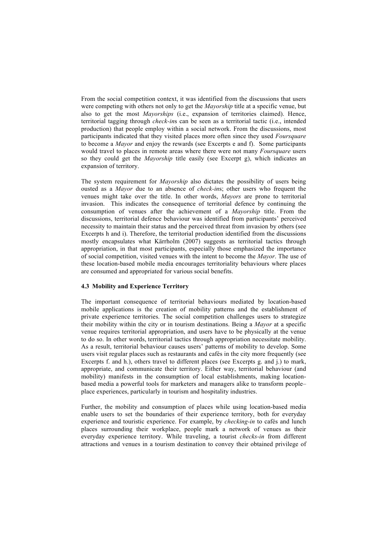From the social competition context, it was identified from the discussions that users were competing with others not only to get the *Mayorship* title at a specific venue, but also to get the most *Mayorships* (i.e., expansion of territories claimed). Hence, territorial tagging through *check-in*s can be seen as a territorial tactic (i.e., intended production) that people employ within a social network. From the discussions, most participants indicated that they visited places more often since they used *Foursquare* to become a *Mayor* and enjoy the rewards (see Excerpts e and f). Some participants would travel to places in remote areas where there were not many *Foursquare* users so they could get the *Mayorship* title easily (see Excerpt g), which indicates an expansion of territory.

The system requirement for *Mayorship* also dictates the possibility of users being ousted as a *Mayor* due to an absence of *check-in*s; other users who frequent the venues might take over the title. In other words, *Mayors* are prone to territorial invasion. This indicates the consequence of territorial defence by continuing the consumption of venues after the achievement of a *Mayorship* title. From the discussions, territorial defence behaviour was identified from participants' perceived necessity to maintain their status and the perceived threat from invasion by others (see Excerpts h and i). Therefore, the territorial production identified from the discussions mostly encapsulates what Kärrholm (2007) suggests as territorial tactics through appropriation, in that most participants, especially those emphasized the importance of social competition, visited venues with the intent to become the *Mayor*. The use of these location-based mobile media encourages territoriality behaviours where places are consumed and appropriated for various social benefits.

#### **4.3 Mobility and Experience Territory**

The important consequence of territorial behaviours mediated by location-based mobile applications is the creation of mobility patterns and the establishment of private experience territories. The social competition challenges users to strategize their mobility within the city or in tourism destinations. Being a *Mayor* at a specific venue requires territorial appropriation, and users have to be physically at the venue to do so. In other words, territorial tactics through appropriation necessitate mobility. As a result, territorial behaviour causes users' patterns of mobility to develop. Some users visit regular places such as restaurants and cafés in the city more frequently (see Excerpts f. and h.), others travel to different places (see Excerpts g. and j.) to mark, appropriate, and communicate their territory. Either way, territorial behaviour (and mobility) manifests in the consumption of local establishments, making locationbased media a powerful tools for marketers and managers alike to transform people– place experiences, particularly in tourism and hospitality industries.

Further, the mobility and consumption of places while using location-based media enable users to set the boundaries of their experience territory, both for everyday experience and touristic experience. For example, by *checking-in* to cafés and lunch places surrounding their workplace, people mark a network of venues as their everyday experience territory. While traveling, a tourist *checks-in* from different attractions and venues in a tourism destination to convey their obtained privilege of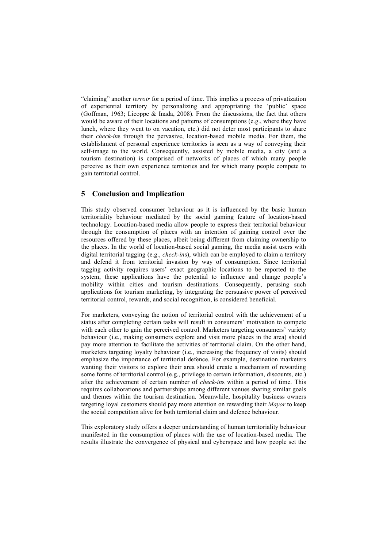"claiming" another *terroir* for a period of time. This implies a process of privatization of experiential territory by personalizing and appropriating the 'public' space (Goffman, 1963; Licoppe & Inada, 2008). From the discussions, the fact that others would be aware of their locations and patterns of consumptions (e.g., where they have lunch, where they went to on vacation, etc.) did not deter most participants to share their *check-in*s through the pervasive, location-based mobile media. For them, the establishment of personal experience territories is seen as a way of conveying their self-image to the world. Consequently, assisted by mobile media, a city (and a tourism destination) is comprised of networks of places of which many people perceive as their own experience territories and for which many people compete to gain territorial control.

# **5 Conclusion and Implication**

This study observed consumer behaviour as it is influenced by the basic human territoriality behaviour mediated by the social gaming feature of location-based technology. Location-based media allow people to express their territorial behaviour through the consumption of places with an intention of gaining control over the resources offered by these places, albeit being different from claiming ownership to the places. In the world of location-based social gaming, the media assist users with digital territorial tagging (e.g., *check-in*s), which can be employed to claim a territory and defend it from territorial invasion by way of consumption. Since territorial tagging activity requires users' exact geographic locations to be reported to the system, these applications have the potential to influence and change people's mobility within cities and tourism destinations. Consequently, perusing such applications for tourism marketing, by integrating the persuasive power of perceived territorial control, rewards, and social recognition, is considered beneficial.

For marketers, conveying the notion of territorial control with the achievement of a status after completing certain tasks will result in consumers' motivation to compete with each other to gain the perceived control. Marketers targeting consumers' variety behaviour (i.e., making consumers explore and visit more places in the area) should pay more attention to facilitate the activities of territorial claim. On the other hand, marketers targeting loyalty behaviour (i.e., increasing the frequency of visits) should emphasize the importance of territorial defence. For example, destination marketers wanting their visitors to explore their area should create a mechanism of rewarding some forms of territorial control (e.g., privilege to certain information, discounts, etc.) after the achievement of certain number of *check-in*s within a period of time. This requires collaborations and partnerships among different venues sharing similar goals and themes within the tourism destination. Meanwhile, hospitality business owners targeting loyal customers should pay more attention on rewarding their *Mayor* to keep the social competition alive for both territorial claim and defence behaviour.

This exploratory study offers a deeper understanding of human territoriality behaviour manifested in the consumption of places with the use of location-based media. The results illustrate the convergence of physical and cyberspace and how people set the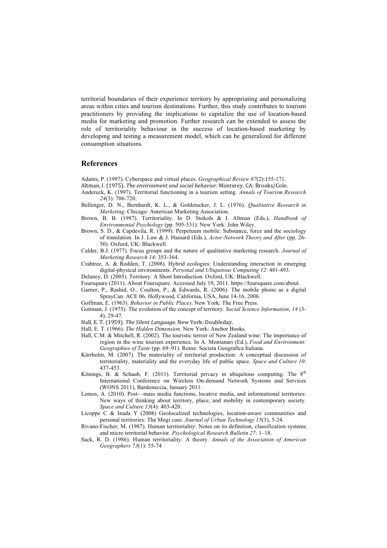territorial boundaries of their experience territory by appropriating and personalizing areas within cities and tourism destinations. Further, this study contributes to tourism practitioners by providing the implications to capitalize the use of location-based media for marketing and promotion. Further research can be extended to assess the role of territoriality behaviour in the success of location-based marketing by developing and testing a measurement model, which can be generalized for different consumption situations.

### **References**

Adams, P. (1997). Cyberspace and virtual places. *Geographical Review 87*(2):155-171.

- Altman, I. (1975). *The environment and social behavior*. Monterey, CA: Brooks/Cole.
- Andereck, K. (1997). Territorial functioning in a tourism setting. *Annals of Tourism Research 24*(3): 706-720.
- Bellenger, D. N., Bernhardt, K. L., & Goldstucker, J. L. (1976). *Qualitative Research in Marketing*. Chicago: American Marketing Association.
- Brown, B. B. (1987). Territoriality. In D. Stokols & I. Altman (Eds.), *Handbook of Environmental Psychology* (pp. 505-531). New York: John Wiley.
- Brown, S. D., & Capdevila, R. (1999). Perpetuum mobile: Substance, force and the sociology of translation. In J. Law & J. Hassard (Eds.), *Actor-Network Theory and After* (pp. 26- 50). Oxford, UK: Blackwell.
- Calder, B.J. (1977). Focus groups and the nature of qualitative marketing research. *Journal of Marketing Research 14*: 353-364.
- Crabtree, A. & Rodden, T. (2008). Hybrid ecologies: Understanding interaction in emerging digital-physical environments. *Personal and Ubiquitous Computing 12*: 481-493.
- Delaney, D. (2005). Territory: A Short Introduction. Oxford, UK: Blackwell.
- Foursquare (2011). About Foursquare. Accessed July 19, 2011. https://foursquare.com/about.
- Garner, P., Rashid, O., Coulton, P., & Edwards, R. (2006). The mobile phone as a digital SprayCan. ACE 06, Hollywood, California, USA, June 14-16, 2006.
- Goffman, E. (1963). *Behavior in Public Places*. New York: The Free Press.
- Gottman, J. (1975). The evolution of the concept of territory. *Social Science Information*, *14* (3- 4), 29-47.
- Hall, E. T. (1959). The Silent Language. New York: Doubleday.
- Hall, E. T. (1966). *The Hidden Dimension*. New York: Anchor Books.
- Hall, C.M. & Mitchell, R. (2002). The touristic terroir of New Zealand wine: The importance of region in the wine tourism experience. In A. Montanari (Ed.), *Food and Environment: Geographies of Taste* (pp. 69–91). Rome: Societa Geografica Italiana.
- Kärrholm, M. (2007). The materiality of territorial production: A conceptual discussion of territoriality, materiality and the everyday life of public space. *Space and Culture 10*: 437-453.
- Könings, B. & Schaub, F. (2011). Territorial privacy in ubiquitous computing. The  $8^{th}$ International Conference on Wireless On-demand Network Systems and Services (WONS 2011), Bardoneccia, January 2011.
- Lemos, A. (2010). Post—mass media functions, locative media, and informational territories: New ways of thinking about territory, place, and mobility in contemporary society. *Space and Culture 13*(4): 403-420.
- Licoppe C & Inada Y (2008) Geolocalized technologies, location-aware communities and personal territories: The Mogi case. *Journal of Urban Technology 15*(3), 5-24.
- Rivano-Fischer, M. (1987). Human territoriality: Notes on its definition, classification systems and micro territorial behavior. *Psychological Research Bulletin 27*: 1–18.
- Sack, R. D. (1986). Human territoriality: A theory. *Annals of the Association of American Geographers 73*(1): 55-74